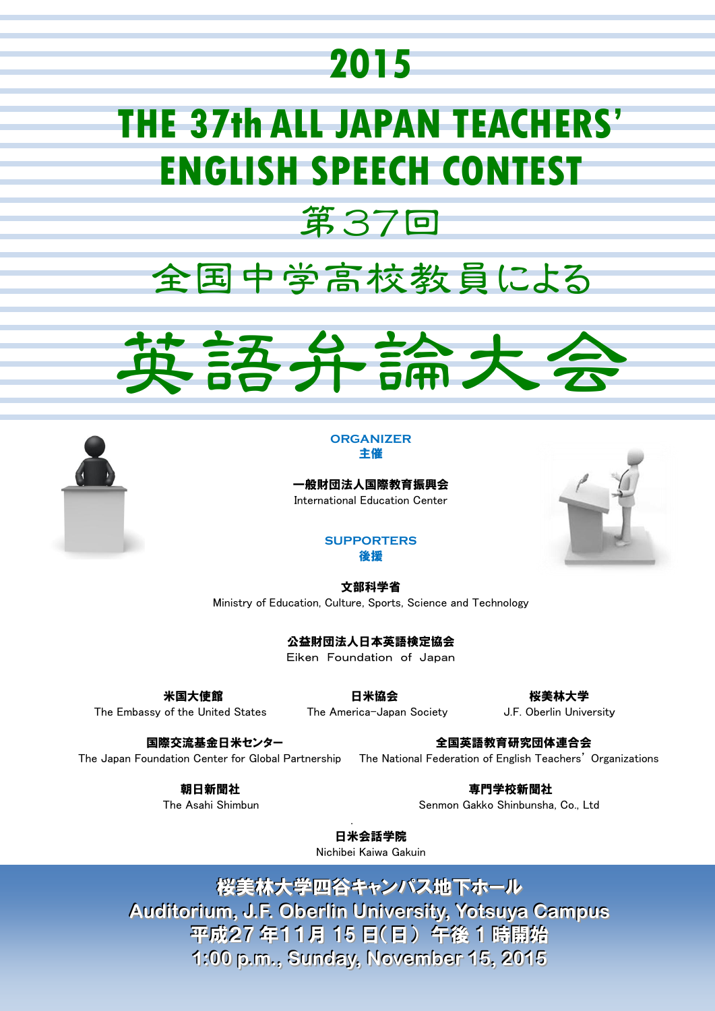## **2015**

# **THE 37th ALL JAPAN TEACHERS' ENGLISH SPEECH CONTEST**



第37回





一般財団法人国際教育振興会 International Education Center



#### **SUPPORTERS** 後援

文部科学省 Ministry of Education, Culture, Sports, Science and Technology

公益財団法人日本英語検定協会

Eiken Foundation of Japan

The Embassy of the United States The America-Japan Society **J.F. Oberlin University** 

米国大使館 いっきょう ほんこう 日米協会 いっきょう おおおく 桜美林大学

国際交流基金日米センター インファイン 全国英語教育研究団体連合会

The Japan Foundation Center for Global Partnership The National Federation of English Teachers' Organizations

朝日新聞社 あんごう おおやく かんきょう エンジェット 専門学校新聞社 おおおおし The Asahi Shimbun Senmon Gakko Shinbunsha, Co., Ltd

 . 日米会話学院 Nichibei Kaiwa Gakuin

> 桜美林大学四谷キャンパス地下ホール **Audiitoriium,, J..F.. Oberlliin Uniiversiity,, Yotsuya Campus** 平成27 年11月 15 日(日) 午後 1 時開始 **1::00 p..m..,, Sunday,, November 15,, 2015**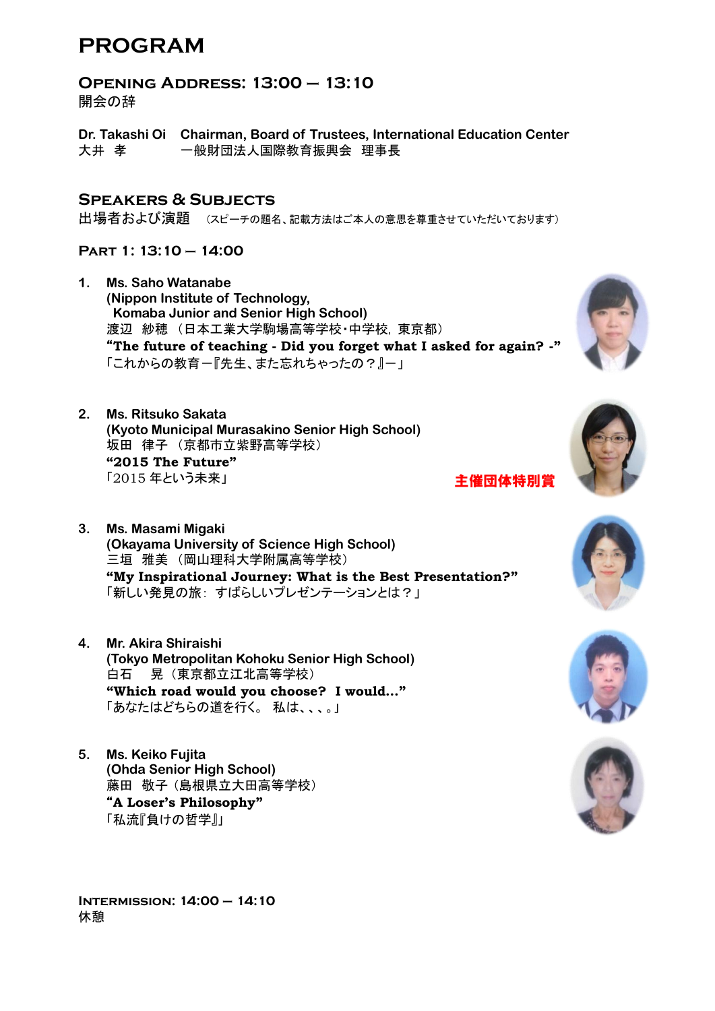## **PROGRAM**

**Opening Address: 13:00 – 13:10**

開会の辞

**Dr. Takashi Oi Chairman, Board of Trustees, International Education Center** 大井 孝 一般財団法人国際教育振興会 理事長

### **Speakers & Subjects**

出場者および演題 (スピーチの題名、記載方法はご本人の意思を尊重させていただいております)

### **Part 1: 13:10 – 14:00**

- **1. Ms. Saho Watanabe (Nippon Institute of Technology, Komaba Junior and Senior High School)** 渡辺 紗穂 (日本工業大学駒場高等学校・中学校, 東京都) "**The future of teaching - Did you forget what I asked for again? -"** 「これからの教育ー『先生、また忘れちゃったの?』ー」
- **2. Ms. Ritsuko Sakata (Kyoto Municipal Murasakino Senior High School)** 坂田 律子 (京都市立紫野高等学校) **"2015 The Future"** 「2015 年という未来」
- **3. Ms. Masami Migaki (Okayama University of Science High School)** 三垣 雅美 (岡山理科大学附属高等学校) **"My Inspirational Journey: What is the Best Presentation?"** 「新しい発見の旅: すばらしいプレゼンテーションとは?」
- **4. Mr. Akira Shiraishi (Tokyo Metropolitan Kohoku Senior High School)** 白石 晃 (東京都立江北高等学校) **"Which road would you choose? I would…"** 「あなたはどちらの道を行く。 私は、、、。」
- **5. Ms. Keiko Fujita (Ohda Senior High School)** 藤田 敬子 (島根県立大田高等学校) "**A Loser's Philosophy"** 「私流『負けの哲学』」





主催団体特別賞







**Intermission: 14:00 – 14:10** 休憩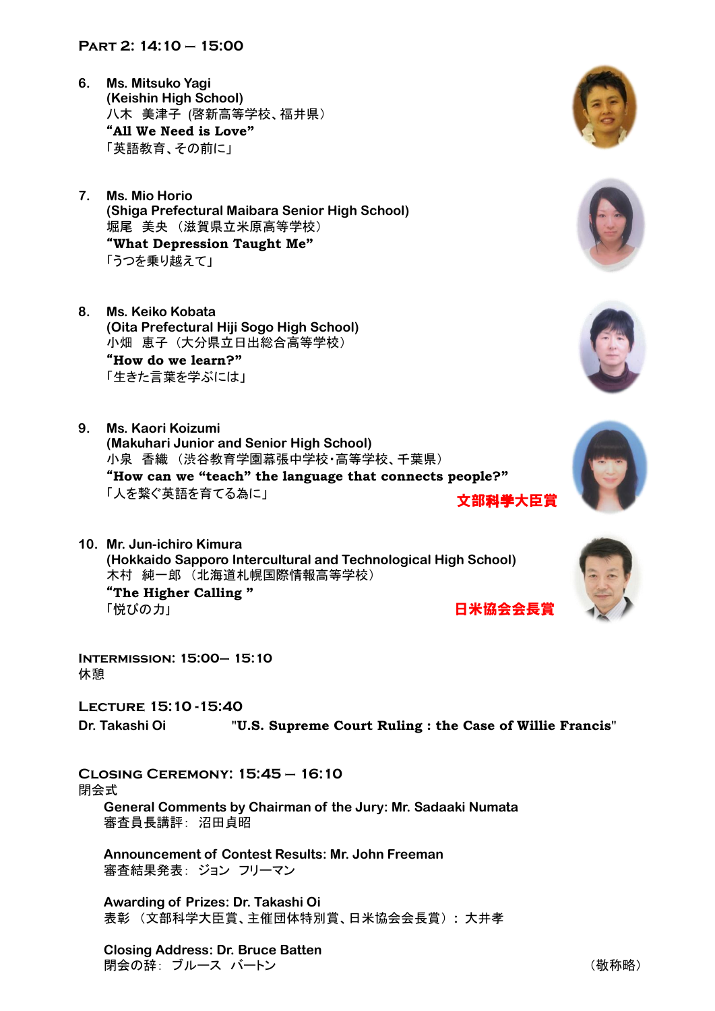#### **Part 2: 14:10 – 15:00**

- **6. Ms. Mitsuko Yagi (Keishin High School)** 八木 美津子 (啓新高等学校、福井県) "**All We Need is Love"** 「英語教育、その前に」
- **7. Ms. Mio Horio (Shiga Prefectural Maibara Senior High School)** 堀尾 美央 (滋賀県立米原高等学校) "**What Depression Taught Me"** 「うつを乗り越えて」
- **8. Ms. Keiko Kobata (Oita Prefectural Hiji Sogo High School)** 小畑 恵子 (大分県立日出総合高等学校) "**How do we learn?"** 「生きた言葉を学ぶには」
- **9. Ms. Kaori Koizumi (Makuhari Junior and Senior High School)** 小泉 香織 (渋谷教育学園幕張中学校・高等学校、千葉県) "**How can we "teach" the language that connects people?"** 「人を繋ぐ英語を育てる為に」 文部科学大臣賞
- **10. Mr. Jun-ichiro Kimura (Hokkaido Sapporo Intercultural and Technological High School)** 木村 純一郎 (北海道札幌国際情報高等学校) "**The Higher Calling "** 「悦びのカ」 日米協会会長賞

**Intermission: 15:00– 15:10** 休憩

**Lecture 15:10 -15:40**

**Dr. Takashi Oi "U.S. Supreme Court Ruling : the Case of Willie Francis"**

**Closing Ceremony: 15:45 – 16:10** 閉会式 **General Comments by Chairman of the Jury: Mr. Sadaaki Numata**

審査員長講評: 沼田貞昭

**Announcement of Contest Results: Mr. John Freeman** 審査結果発表: ジョン フリーマン

**Awarding of Prizes: Dr. Takashi Oi** 表彰 (文部科学大臣賞、主催団体特別賞、日米協会会長賞) **:** 大井孝

**Closing Address: Dr. Bruce Batten** |閉会の辞: ブルース バートン | インスコン | インスコン | インスコン | インスコン | (敬称略)